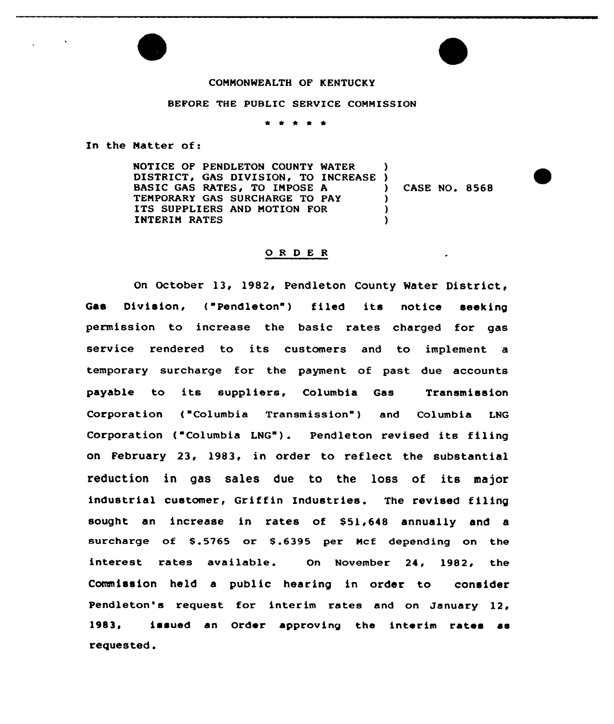### COMMONWEALTH OF KENTUCKY

#### BEFORE 'THE PUBLIC SERVICE COMMISSION

\* \* \* \* \*

In the Natter of:

NOTICE OF PENDLETON COUNTY WATER DISTRICT, GAS DIVISION, TO INCREASE BASIC GAS RATES, TO IMPOSE A TEMPORARY GAS SURCHARGE TO PAY ITS SUPPLIERS AND NOTION FOR INTERIM RATES ) ) ) CASE NO. 8568  $\lambda$  $\mathbf{I}$ )

### O R D E R

On October 13, 1982, Pendleton County Water District, Gas Division, ("Pendleton") filed its notice seeking permission to increase the basic rates charged for gas service rendered to its customers and to implement a temporary surcharge for the payment of past due accounts payable to its suppliers, Columbia Gas Transmission Corporation ("Columbia Transmission") and Columbia LNG Corporation ("Columbia LNG"). Pendleton revised its filing on February 23, 1983, in order to reflect the substantial reduction in gas sales due to the loss of its major industrial customer, Griffin Industries. The revised filing sought an increase in rates of \$51,648 annually and a surcharge of \$.5765 or \$.6395 per Mcf depending on the interest rates available. On November 24, 1982, the Commission held a public hearing in order to consider Pendleton's request for interim rates and on January 12, 1983, issued an Order approving the interim rates as requested.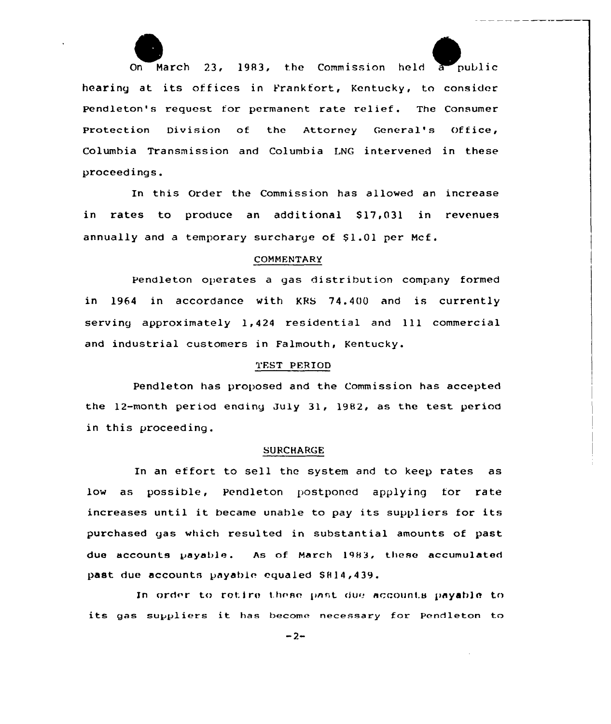On March 23, 1983, the Commission held a public hearing at its offices in Pranktort, Kentucky, to consider Pendleton's request for permanent rate relief. The Consumer Protection Division of the Attorney General's Office, Columbia Transmission and Columbia LNG intervened in these proceed ings.

In this Order the Commission has allowed an increase in rates to produce an additional \$17,031 in revenues annually and a temporary surcharge of \$1.01 per Mcf.

# COMMENTARY

Pendleton operates a gas distribution company formed in 1964 in accordance with KBS 74.400 and is currently serving approximately 1,424 residential and 111 commercial and industrial customers in Falmouth, Kentucky.

# TEST PERIOD

Pendleton has proposed and the Commission has accepted the 12-month period ending July 31, 1982, as the test period in this proceeding.

### SURCHARGE

In an effort to sell the system and to keep rates as low as possible, Pendleton postponed applying for rate increases until it became unable to pay its suppliers for its purchased gas which resulted in substantial amounts of past due accounts payable. As of March 1983, these accumulated past due accounts payable equaled SH14,439.

In order to retire these past due accounts payable to its gas suppliers it has become necessary for Pendleton to

 $-2-$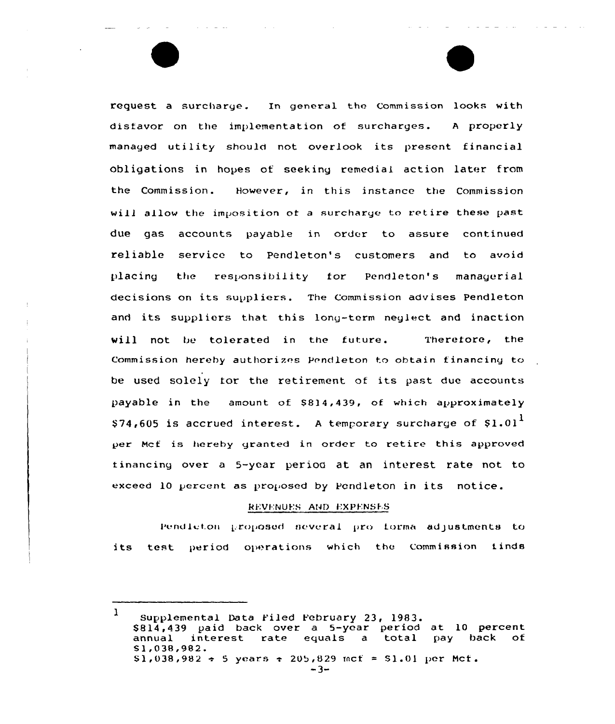request a surcharge. In general the Commission looks with disfavor on the implementation of surcharges. <sup>A</sup> properly managed utility should not overlook its present financial obligations in hopes of seeking remedial action later fram the Commission. However, in this instance the Commission will allow the imposition of a surcharge to retire these past due gas accounts payable in order to assure continued reliable service to Pendleton's customers and to avoid placing the responsibility for Pendleton's managerial decisions on its suppliers. The Commission advises Pendleton and its suppliers that this long-term neglect and inaction will not be tolerated in the future. Therefore, the Commission herehy authorizes Pendleton to obtain financing to be used solely for the retirement of its past due accounts payable in the amount of S814,439, of which approximately  $$74,605$  is accrued interest. A temporary surcharge of  $$1.01<sup>1</sup>$ per Mcf is hereby granted in order to retire this approved financing over a 5-year period at an interest rate not to exceed 10 percent as proposed by Pendleton in its notice.

#### REVENUES AND EXPENSES

Pendleton proposed several pro forma adjustments to its test period operations which the Commission finds

<sup>1</sup> Supplemental Data Yiled Yebruary 23, 1983. \$ 814,439 paid back aver a 5-year period at 10 percent interest rate equals a total Sl,038,982.  $$1,038,982 \div 5$  years  $\div 205,829$  mcf = S1.01 per Mcf.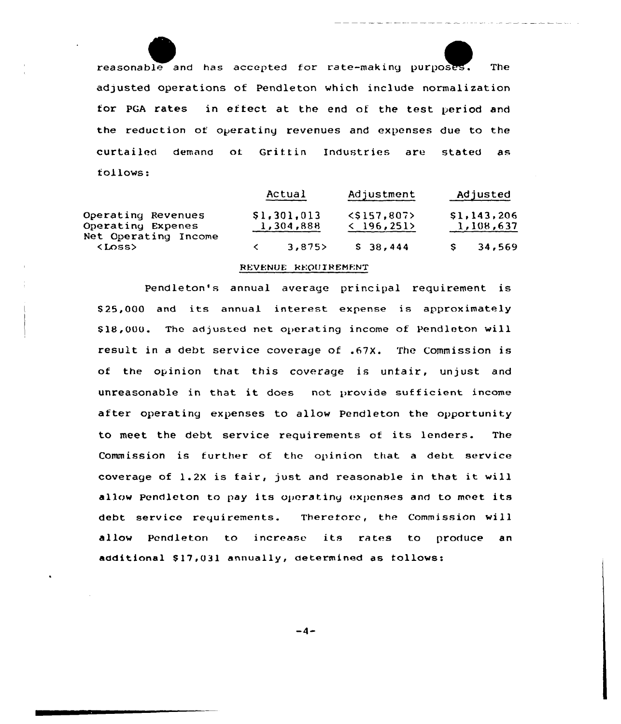reasonable and has accepted for rate-making purposes. The adjusted operations of Pendleton which include normalization for PGA rates in effect at the end of the test period and the reduction of operating revenues and expenses due to the curtailed demand of Grittin Industries are stated as follows:

J a.

|                                                                                  | Actual                   |       | Adjustment                                   |          | Adjusted                 |        |
|----------------------------------------------------------------------------------|--------------------------|-------|----------------------------------------------|----------|--------------------------|--------|
| Operating Revenues<br>Operating Expenes<br>Net Operating Income<br><loss></loss> | \$1,301,013<br>1,304,888 |       | $<$ \$157.807><br>$\langle 196, 251 \rangle$ |          | \$1,143,206<br>1,108,637 |        |
|                                                                                  |                          | 3,875 |                                              | \$38,444 |                          | 34,569 |

# REVENUE REQUIREMENT

Pendleton's annual average principal requirement is \$ 25,000 and its annual interest expense is approximately \$18,000. The adjusted net operating income of Pendleton will result in <sup>a</sup> debt service coverage of .67X. The Commission is of the opinion that this coverage is unfair, unjust and unreasonable in that it does not provide sufficient income after operating expenses to allow Pendleton the opportunity to meet the debt service requirements of its lenders. The Commission is further of the opinion that a debt service coverage of 1.2X is fair, just and reasonable in that it will allow Pendleton to pay its operating «xpenses and to meet its debt service requirements. Therefore, the Commission will allow Pendleton to increase its rates to produce an additional \$17,031 annually, determined as tollows:

 $-4-$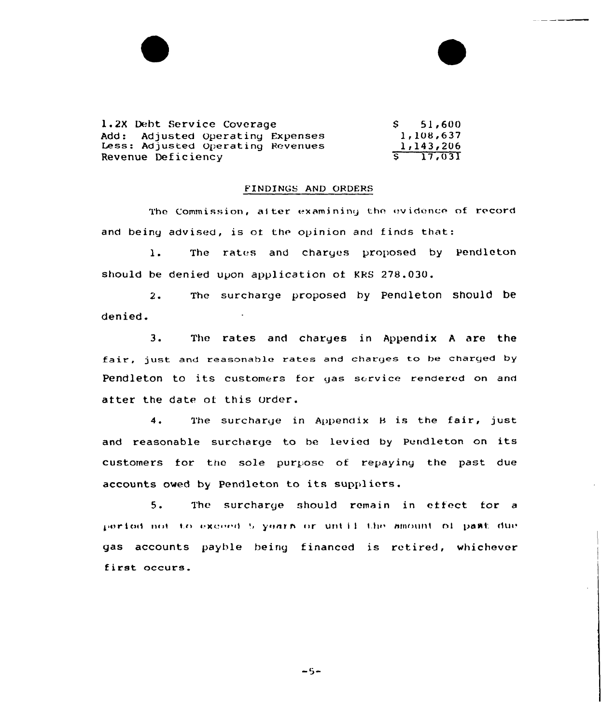| 1.2X Debt Service Coverage        | $S = 51,600$ |
|-----------------------------------|--------------|
| Add: Adjusted Operating Expenses  | 1,108,637    |
| Less: Adjusted Operating Revenues | 1,143,206    |
| Revenue Deficiency                | $5 - 17,031$ |

#### FINDINGS AND ORDERS

The Commission, after examining the evidence of record and being advised, is of the opinion and finds that:

1. The rates and charges proposed by Pendleton should be denied upon application of KRS 278.030.

2. The surcharge proposed by pendleton should be denied.

3. The rates and charges in Appendix <sup>A</sup> are the fair, just and reasonable rates and charges to be charged by Pendleton to its customers for gas service rendered on and atter the date of this order.

4. The surcharge in Appendix B is the fair, just and reasonable surcharge to be levied by Pendleton on its customers for the sole purpose of repaying the past due accounts owed by Pendleton to its suppliers.

5. Thc surcharge should remain in effect for <sup>a</sup> period not to exceed 5 years or until the amount of past due gas accounts payble being financed is retired, whichever first occurs.

 $-5-$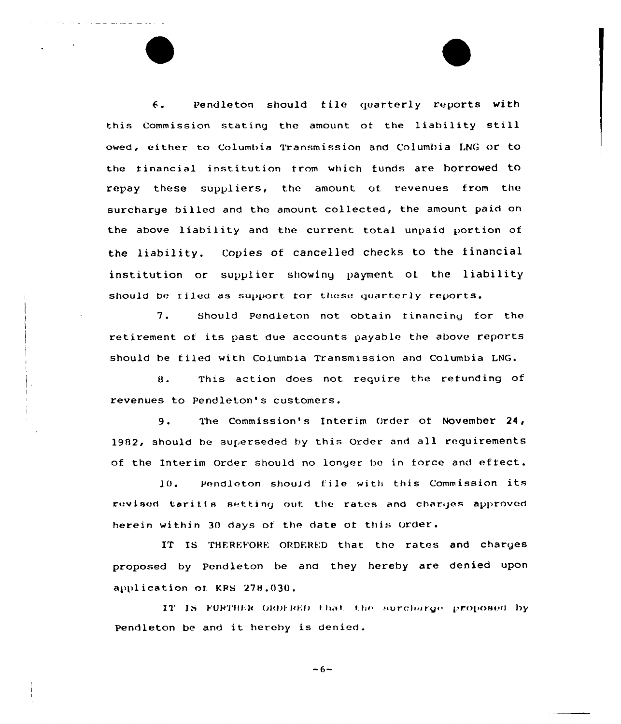6. Pendleton should file quarterly reports with this Commission stating the amount of the liability still owed, either to Columbia Transmission and Columbia LNG or to the financial institution from which funds are borrowed to repay these suppliers, the amount of revenues from the surcharge billed and the amount collected, the amount paid on the above liability and the current total unpaid portion of the liability. Copies of cancelled checks to the financial institution or supplier showing payment of the liability should be filed as support for these quarterly reports.

7. Should Pendleton not obtain financing for the retirement of its past due accounts payable the above reports should be tiled with Columbia Transmission and Columbia LNG.

8. This action does not require the refunding of revenues to Pendleton's customers.

9. The Commission's Interim Order of November 24, 1982, should be superseded by this Order and all requirements of the Interim Order should no longer be in force and effect.

10. Pendleton should file with this Commission its revised taritis setting out the rates and charges approved herein within 30 days of the date of this Order.

IT IS THEREFORE ORDERED that the rates and charges proposed by Pendleton he and they hereby are denied upon application of KRS 278.030.

IT IS FURTHER ORDERED that the surcharge proposed by Pendleton be and it hereby is denied.

 $-6-$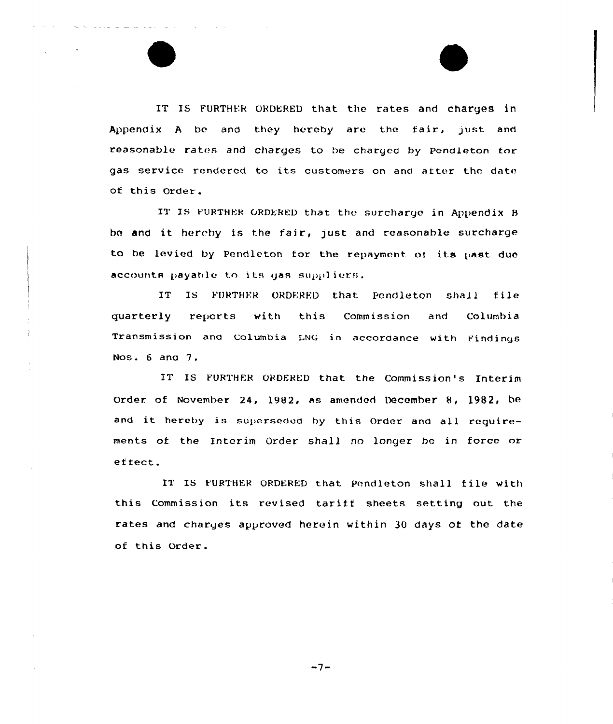IT IS FURTHER ORDERED that the rates and charges in Appendix A be and they hereby are the fair, just and reasonable rates and charges to be charged by pendleton for gas service rendered to its customers on and after the date of this Order.

IT IS FURTHER ORDERED that the surcharge in Appendix B he and it hereby is the fair, just and reasonable surcharge to be levied by Pendleton for the repayment of its past due accounts payable to its gas suppliers.

IT IS FURTHER ORDERED that Pendleton shall file quarterly reports with this Commission and Columbia Transmission and Columbia LNG in accordance with findings Nos. 6 and 7.

IT IS FURTHER ORDERED that the Commission's Interim Order of November 24, 1982, as amended December 8, 1982, be and it hereby is superseded by this Order and all requirements of the Interim Order shall no longer be in force or effect.

IT IS k'URTHER ORDERED that Pendleton shall file with this Commission its revised tarifi sheets setting out the rates and charges approved herein within 30 days ot the date of this Order.

 $-7-$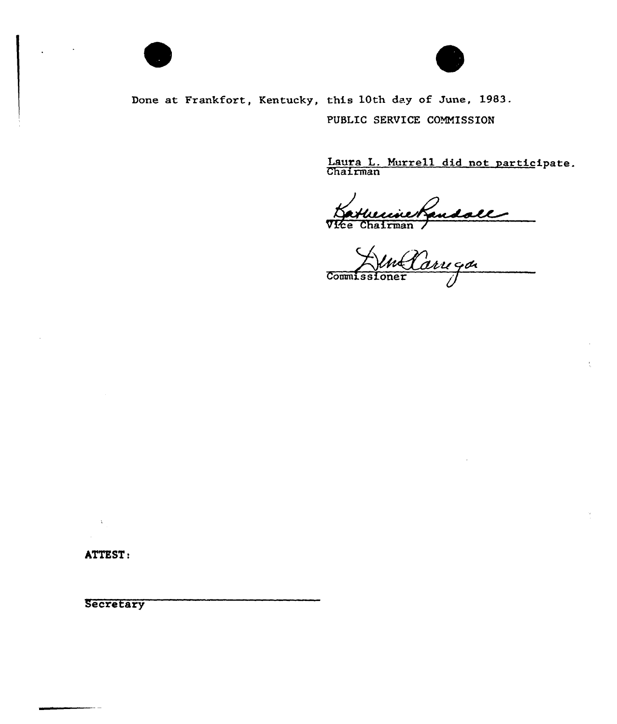



Done at Frankfort, Kentucky, this 10th day of June, 1983. PUBLIC SERVICE COMMISSION

Laura L. Murrell did not participate<br>Chairman

Vice Chairman

**Commissione** 

ATTEST:

 $\overline{a}$ 

 $\chi$ 

**Secretary**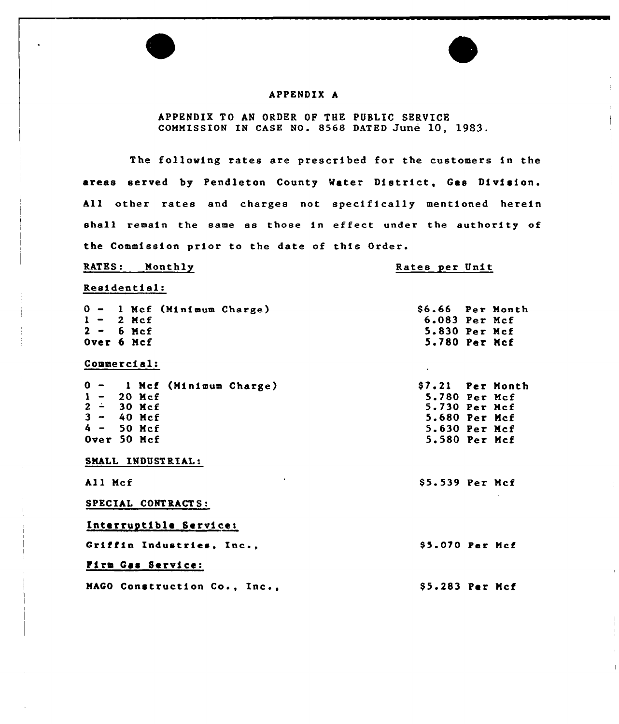# APPENDIX A

# APPENDIX TO AN ORDER OP THE PUSLIC SERVICE COMMISSION IN CASE NO. 8568 DATED June 10, 1983.

The following rates are prescribed for the customers in the areas served by Pendleton County Mater District, Gas Division. All other rates and charges not specifically mentioned herein shall remain the same as those in effect under the authority of the Commission prior to the date of this Order.

### RATES: Monthly

# Rates per Unit

### Residential:

| 0 - 1 Mcf (Minimum Charge)   | \$6.66 Per Month |  |
|------------------------------|------------------|--|
| $1 - 2$ Mcf                  | 6.083 Per Mcf    |  |
| $2 - 6$ Mcf                  | 5.830 Per Mcf    |  |
| Over 6 Mcf                   | 5.780 Per Mcf    |  |
| Commercial:                  |                  |  |
| 0 - 1 Mcf (Minimum Charge)   | \$7.21 Per Month |  |
|                              | 5.780 Per Mcf    |  |
| $1 - 20$ Mcf<br>$2 - 30$ Mcf | 5.730 Per Mcf    |  |
| $3 - 40$ Mcf                 | 5.680 Per Mcf    |  |
| $4 - 50$ Hcf                 | 5.630 Per Mcf    |  |
| Over 50 Mcf                  | 5.580 Per Mcf    |  |
| SMALL INDUSTRIAL:            |                  |  |
| All Mcf                      | \$5.539 Per Mcf  |  |
| SPECIAL CONTRACTS:           |                  |  |
| Interruptible Service:       |                  |  |
| Griffin Industries, Inc.,    | \$5.070 Per Mcf  |  |
| Firm Gas Service:            |                  |  |
| MAGO Construction Co., Inc., | \$5.283 Per Mcf  |  |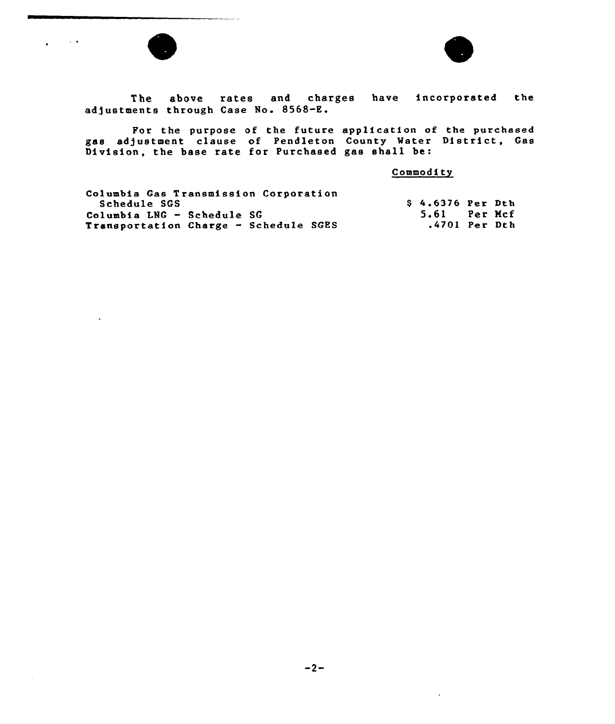

 $\sim 100$  km s  $^{-1}$ 

 $\ddot{\phantom{1}}$ 

 $\ddot{\phantom{0}}$ 



The above rates and charges have incorporated the adjustments through Case No. 8568-E.

For the purpose of the future application of the purchase gas adjustment clause of Pendleton County Mater District, Gas Division, the base rate for Purchased gas shall be:

**Commodity** 

 $\ddot{\phantom{a}}$ 

| Columbia Gas Transmission Corporation |                         |  |
|---------------------------------------|-------------------------|--|
| Schedule SGS                          | <b>S 4.6376 Per Dth</b> |  |
| Columbia LNG - Schedule SG            | 5.61 Per Mcf            |  |
| Transportation Charge - Schedule SGES | .4701 Per Dth           |  |